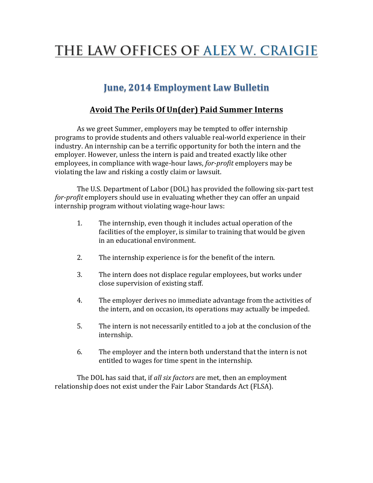# THE LAW OFFICES OF ALEX W. CRAIGIE

## **June, 2014 Employment Law Bulletin**

### **Avoid The Perils Of Un(der) Paid Summer Interns**

As we greet Summer, employers may be tempted to offer internship programs to provide students and others valuable real-world experience in their industry. An internship can be a terrific opportunity for both the intern and the employer. However, unless the intern is paid and treated exactly like other employees, in compliance with wage-hour laws, *for-profit* employers may be violating the law and risking a costly claim or lawsuit.

The U.S. Department of Labor (DOL) has provided the following six-part test *for-profit* employers should use in evaluating whether they can offer an unpaid internship program without violating wage-hour laws:

- 1. The internship, even though it includes actual operation of the facilities of the employer, is similar to training that would be given in an educational environment.
- 2. The internship experience is for the benefit of the intern.
- 3. The intern does not displace regular employees, but works under close supervision of existing staff.
- 4. The employer derives no immediate advantage from the activities of the intern, and on occasion, its operations may actually be impeded.
- 5. The intern is not necessarily entitled to a job at the conclusion of the internship.
- 6. The employer and the intern both understand that the intern is not entitled to wages for time spent in the internship.

The DOL has said that, if *all six factors* are met, then an employment relationship does not exist under the Fair Labor Standards Act (FLSA).